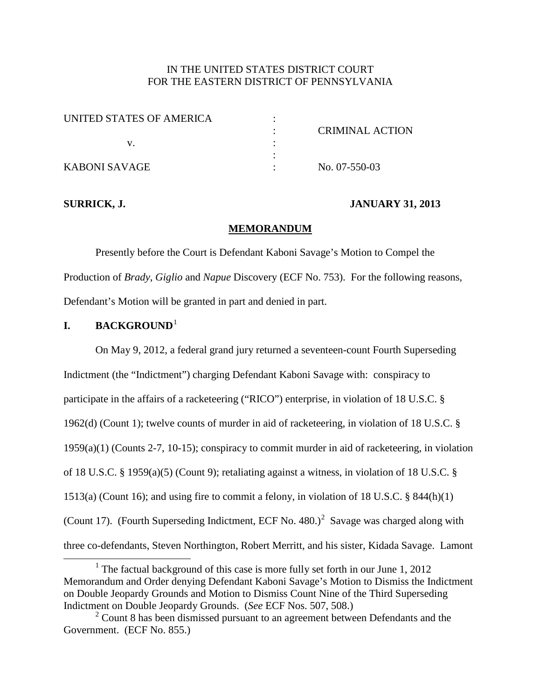## IN THE UNITED STATES DISTRICT COURT FOR THE EASTERN DISTRICT OF PENNSYLVANIA

| UNITED STATES OF AMERICA |                 |
|--------------------------|-----------------|
|                          | CRIMINAL ACTION |
|                          |                 |
|                          |                 |
| KABONI SAVAGE            | No. 07-550-03   |

## **SURRICK, J. JANUARY 31, 2013**

### **MEMORANDUM**

Presently before the Court is Defendant Kaboni Savage's Motion to Compel the Production of *Brady*, *Giglio* and *Napue* Discovery (ECF No. 753). For the following reasons, Defendant's Motion will be granted in part and denied in part.

## **I. BACKGROUND**[1](#page-10-0)

On May 9, 2012, a federal grand jury returned a seventeen-count Fourth Superseding Indictment (the "Indictment") charging Defendant Kaboni Savage with: conspiracy to participate in the affairs of a racketeering ("RICO") enterprise, in violation of 18 U.S.C. § 1962(d) (Count 1); twelve counts of murder in aid of racketeering, in violation of 18 U.S.C. § 1959(a)(1) (Counts 2-7, 10-15); conspiracy to commit murder in aid of racketeering, in violation of 18 U.S.C. § 1959(a)(5) (Count 9); retaliating against a witness, in violation of 18 U.S.C. § 1513(a) (Count 16); and using fire to commit a felony, in violation of 18 U.S.C. § 844(h)(1) (Count 17). (Fourth Superseding Indictment, ECF No. 480.)<sup>[2](#page-0-0)</sup> Savage was charged along with three co-defendants, Steven Northington, Robert Merritt, and his sister, Kidada Savage. Lamont

<span id="page-0-1"></span><sup>&</sup>lt;sup>1</sup> The factual background of this case is more fully set forth in our June 1, 2012 Memorandum and Order denying Defendant Kaboni Savage's Motion to Dismiss the Indictment on Double Jeopardy Grounds and Motion to Dismiss Count Nine of the Third Superseding Indictment on Double Jeopardy Grounds. (*See* ECF Nos. 507, 508.)

<span id="page-0-0"></span> $2^2$  Count 8 has been dismissed pursuant to an agreement between Defendants and the Government. (ECF No. 855.)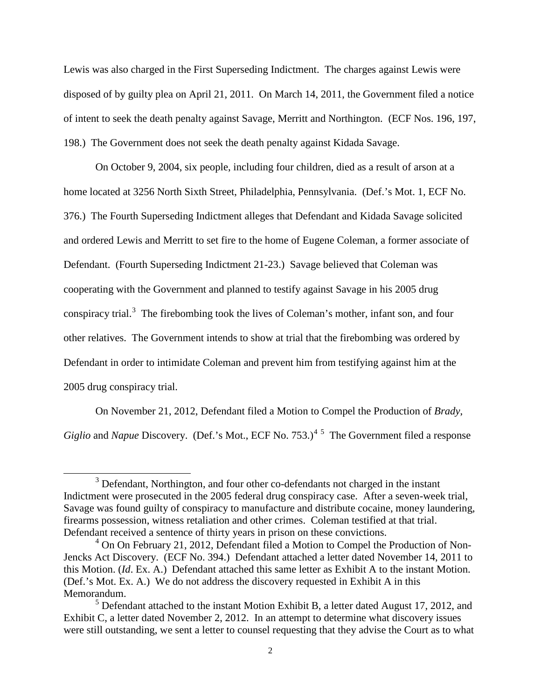Lewis was also charged in the First Superseding Indictment. The charges against Lewis were disposed of by guilty plea on April 21, 2011. On March 14, 2011, the Government filed a notice of intent to seek the death penalty against Savage, Merritt and Northington. (ECF Nos. 196, 197, 198.) The Government does not seek the death penalty against Kidada Savage.

On October 9, 2004, six people, including four children, died as a result of arson at a home located at 3256 North Sixth Street, Philadelphia, Pennsylvania. (Def.'s Mot. 1, ECF No. 376.) The Fourth Superseding Indictment alleges that Defendant and Kidada Savage solicited and ordered Lewis and Merritt to set fire to the home of Eugene Coleman, a former associate of Defendant. (Fourth Superseding Indictment 21-23.) Savage believed that Coleman was cooperating with the Government and planned to testify against Savage in his 2005 drug conspiracy trial.<sup>[3](#page-0-1)</sup> The firebombing took the lives of Coleman's mother, infant son, and four other relatives. The Government intends to show at trial that the firebombing was ordered by Defendant in order to intimidate Coleman and prevent him from testifying against him at the 2005 drug conspiracy trial.

On November 21, 2012, Defendant filed a Motion to Compel the Production of *Brady*, Giglio and *Napue* Discovery. (Def.'s Mot., ECF No. 753.)<sup>[4](#page-1-0)[5](#page-1-1)</sup> The Government filed a response

<sup>&</sup>lt;sup>3</sup> Defendant, Northington, and four other co-defendants not charged in the instant Indictment were prosecuted in the 2005 federal drug conspiracy case. After a seven-week trial, Savage was found guilty of conspiracy to manufacture and distribute cocaine, money laundering, firearms possession, witness retaliation and other crimes. Coleman testified at that trial. Defendant received a sentence of thirty years in prison on these convictions.

<span id="page-1-0"></span> $4$  On On February 21, 2012, Defendant filed a Motion to Compel the Production of Non-Jencks Act Discovery. (ECF No. 394.) Defendant attached a letter dated November 14, 2011 to this Motion. (*Id*. Ex. A.) Defendant attached this same letter as Exhibit A to the instant Motion. (Def.'s Mot. Ex. A.) We do not address the discovery requested in Exhibit A in this Memorandum.<br><sup>5</sup> Defendant attached to the instant Motion Exhibit B, a letter dated August 17, 2012, and

<span id="page-1-2"></span><span id="page-1-1"></span>Exhibit C, a letter dated November 2, 2012. In an attempt to determine what discovery issues were still outstanding, we sent a letter to counsel requesting that they advise the Court as to what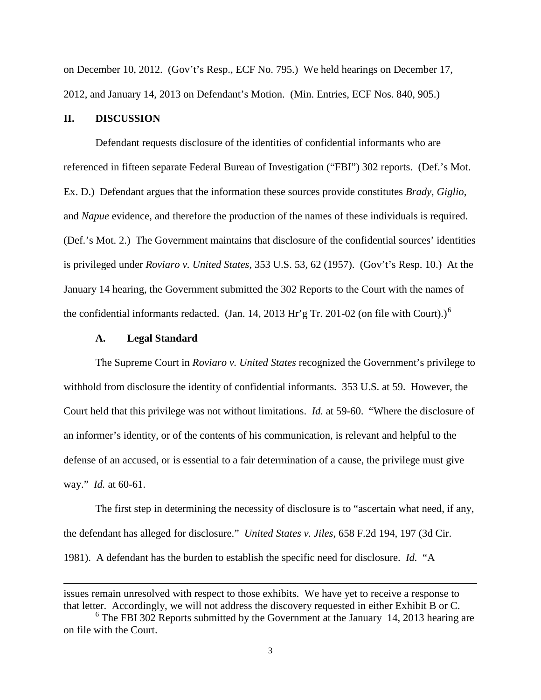on December 10, 2012. (Gov't's Resp., ECF No. 795.) We held hearings on December 17, 2012, and January 14, 2013 on Defendant's Motion. (Min. Entries, ECF Nos. 840, 905.)

## **II. DISCUSSION**

Defendant requests disclosure of the identities of confidential informants who are referenced in fifteen separate Federal Bureau of Investigation ("FBI") 302 reports. (Def.'s Mot. Ex. D.) Defendant argues that the information these sources provide constitutes *Brady*, *Giglio*, and *Napue* evidence, and therefore the production of the names of these individuals is required. (Def.'s Mot. 2.) The Government maintains that disclosure of the confidential sources' identities is privileged under *Roviaro v. United States*, 353 U.S. 53, 62 (1957). (Gov't's Resp. 10.) At the January 14 hearing, the Government submitted the 302 Reports to the Court with the names of the confidential informants redacted. (Jan. 14, 2013 Hr'g Tr. 201-02 (on file with Court).)<sup>[6](#page-1-2)</sup>

#### **A. Legal Standard**

<span id="page-2-0"></span> $\overline{a}$ 

The Supreme Court in *Roviaro v. United States* recognized the Government's privilege to withhold from disclosure the identity of confidential informants. 353 U.S. at 59. However, the Court held that this privilege was not without limitations. *Id.* at 59-60. "Where the disclosure of an informer's identity, or of the contents of his communication, is relevant and helpful to the defense of an accused, or is essential to a fair determination of a cause, the privilege must give way." *Id.* at 60-61.

The first step in determining the necessity of disclosure is to "ascertain what need, if any, the defendant has alleged for disclosure." *United States v. Jiles*, 658 F.2d 194, 197 (3d Cir. 1981). A defendant has the burden to establish the specific need for disclosure. *Id.* "A

issues remain unresolved with respect to those exhibits. We have yet to receive a response to that letter. Accordingly, we will not address the discovery requested in either Exhibit B or C.

 $6$  The FBI 302 Reports submitted by the Government at the January 14, 2013 hearing are on file with the Court.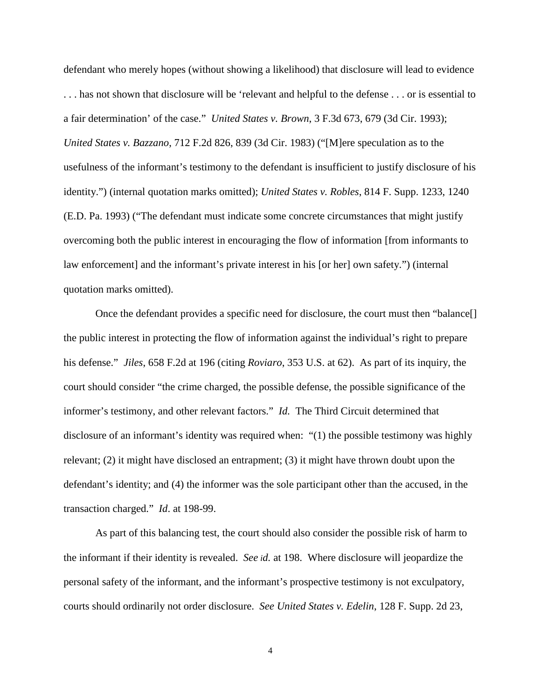defendant who merely hopes (without showing a likelihood) that disclosure will lead to evidence . . . has not shown that disclosure will be 'relevant and helpful to the defense . . . or is essential to a fair determination' of the case." *United States v. Brown*, 3 F.3d 673, 679 (3d Cir. 1993); *United States v. Bazzano*, 712 F.2d 826, 839 (3d Cir. 1983) ("[M]ere speculation as to the usefulness of the informant's testimony to the defendant is insufficient to justify disclosure of his identity.") (internal quotation marks omitted); *United States v. Robles*, 814 F. Supp. 1233, 1240 (E.D. Pa. 1993) ("The defendant must indicate some concrete circumstances that might justify overcoming both the public interest in encouraging the flow of information [from informants to law enforcement] and the informant's private interest in his [or her] own safety.") (internal quotation marks omitted).

Once the defendant provides a specific need for disclosure, the court must then "balance[] the public interest in protecting the flow of information against the individual's right to prepare his defense." *Jiles*, 658 F.2d at 196 (citing *Roviaro*, 353 U.S. at 62). As part of its inquiry, the court should consider "the crime charged, the possible defense, the possible significance of the informer's testimony, and other relevant factors." *Id.* The Third Circuit determined that disclosure of an informant's identity was required when: "(1) the possible testimony was highly relevant; (2) it might have disclosed an entrapment; (3) it might have thrown doubt upon the defendant's identity; and (4) the informer was the sole participant other than the accused, in the transaction charged." *Id*. at 198-99.

As part of this balancing test, the court should also consider the possible risk of harm to the informant if their identity is revealed. *See id.* at 198. Where disclosure will jeopardize the personal safety of the informant, and the informant's prospective testimony is not exculpatory, courts should ordinarily not order disclosure. *See United States v. Edelin*, 128 F. Supp. 2d 23,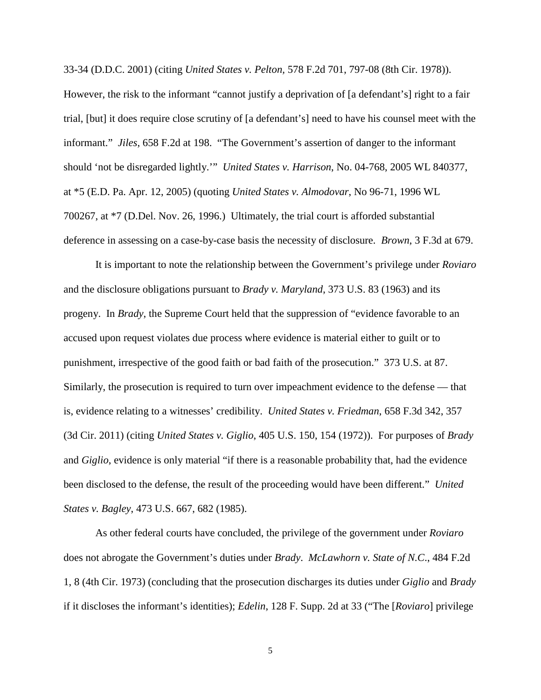33-34 (D.D.C. 2001) (citing *United States v. Pelton,* 578 F.2d 701, 797-08 (8th Cir. 1978)). However, the risk to the informant "cannot justify a deprivation of [a defendant's] right to a fair trial, [but] it does require close scrutiny of [a defendant's] need to have his counsel meet with the informant." *Jiles*, 658 F.2d at 198. "The Government's assertion of danger to the informant should 'not be disregarded lightly.'" *United States v. Harrison*, No. 04-768, 2005 WL 840377, at \*5 (E.D. Pa. Apr. 12, 2005) (quoting *United States v. Almodovar*, No 96-71, 1996 WL 700267, at \*7 (D.Del. Nov. 26, 1996.) Ultimately, the trial court is afforded substantial deference in assessing on a case-by-case basis the necessity of disclosure. *Brown*, 3 F.3d at 679.

It is important to note the relationship between the Government's privilege under *Roviaro* and the disclosure obligations pursuant to *Brady v. Maryland*, 373 U.S. 83 (1963) and its progeny. In *Brady*, the Supreme Court held that the suppression of "evidence favorable to an accused upon request violates due process where evidence is material either to guilt or to punishment, irrespective of the good faith or bad faith of the prosecution." 373 U.S. at 87. Similarly, the prosecution is required to turn over impeachment evidence to the defense — that is, evidence relating to a witnesses' credibility. *United States v. Friedman*, 658 F.3d 342, 357 (3d Cir. 2011) (citing *United States v. Giglio*, 405 U.S. 150, 154 (1972)). For purposes of *Brady*  and *Giglio*, evidence is only material "if there is a reasonable probability that, had the evidence been disclosed to the defense, the result of the proceeding would have been different." *United States v. Bagley*, 473 U.S. 667, 682 (1985).

As other federal courts have concluded, the privilege of the government under *Roviaro* does not abrogate the Government's duties under *Brady*. *McLawhorn v. State of N.C*., 484 F.2d 1, 8 (4th Cir. 1973) (concluding that the prosecution discharges its duties under *Giglio* and *Brady* if it discloses the informant's identities); *Edelin*, 128 F. Supp. 2d at 33 ("The [*Roviaro*] privilege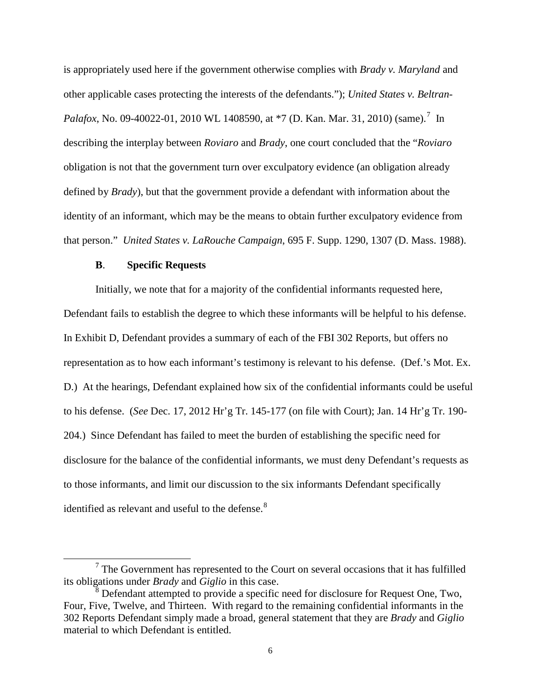is appropriately used here if the government otherwise complies with *Brady v. Maryland* and other applicable cases protecting the interests of the defendants."); *United States v. Beltran-Palafox*, No. 09-40022-01, 2010 WL 1408590, at \*[7](#page-2-0) (D. Kan. Mar. 31, 2010) (same).<sup>7</sup> In describing the interplay between *Roviaro* and *Brady*, one court concluded that the "*Roviaro* obligation is not that the government turn over exculpatory evidence (an obligation already defined by *Brady*), but that the government provide a defendant with information about the identity of an informant, which may be the means to obtain further exculpatory evidence from that person." *United States v. LaRouche Campaign*, 695 F. Supp. 1290, 1307 (D. Mass. 1988).

#### **B**. **Specific Requests**

Initially, we note that for a majority of the confidential informants requested here, Defendant fails to establish the degree to which these informants will be helpful to his defense. In Exhibit D, Defendant provides a summary of each of the FBI 302 Reports, but offers no representation as to how each informant's testimony is relevant to his defense. (Def.'s Mot. Ex. D.) At the hearings, Defendant explained how six of the confidential informants could be useful to his defense. (*See* Dec. 17, 2012 Hr'g Tr. 145-177 (on file with Court); Jan. 14 Hr'g Tr. 190- 204.) Since Defendant has failed to meet the burden of establishing the specific need for disclosure for the balance of the confidential informants, we must deny Defendant's requests as to those informants, and limit our discussion to the six informants Defendant specifically identified as relevant and useful to the defense.<sup>[8](#page-5-0)</sup>

 $<sup>7</sup>$  The Government has represented to the Court on several occasions that it has fulfilled</sup> its obligations under *Brady* and *Giglio* in this case.

<span id="page-5-1"></span><span id="page-5-0"></span> $8$  Defendant attempted to provide a specific need for disclosure for Request One, Two, Four, Five, Twelve, and Thirteen. With regard to the remaining confidential informants in the 302 Reports Defendant simply made a broad, general statement that they are *Brady* and *Giglio*  material to which Defendant is entitled.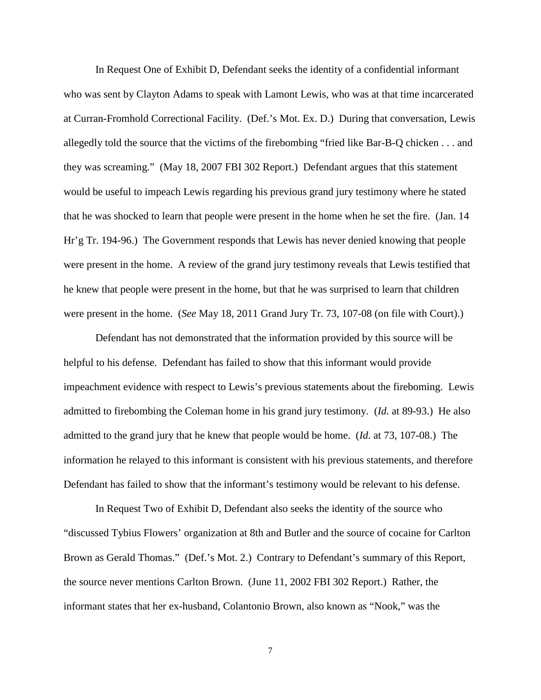In Request One of Exhibit D, Defendant seeks the identity of a confidential informant who was sent by Clayton Adams to speak with Lamont Lewis, who was at that time incarcerated at Curran-Fromhold Correctional Facility. (Def.'s Mot. Ex. D.) During that conversation, Lewis allegedly told the source that the victims of the firebombing "fried like Bar-B-Q chicken . . . and they was screaming." (May 18, 2007 FBI 302 Report.) Defendant argues that this statement would be useful to impeach Lewis regarding his previous grand jury testimony where he stated that he was shocked to learn that people were present in the home when he set the fire. (Jan. 14 Hr'g Tr. 194-96.) The Government responds that Lewis has never denied knowing that people were present in the home. A review of the grand jury testimony reveals that Lewis testified that he knew that people were present in the home, but that he was surprised to learn that children were present in the home. (*See* May 18, 2011 Grand Jury Tr. 73, 107-08 (on file with Court).)

Defendant has not demonstrated that the information provided by this source will be helpful to his defense. Defendant has failed to show that this informant would provide impeachment evidence with respect to Lewis's previous statements about the fireboming. Lewis admitted to firebombing the Coleman home in his grand jury testimony. (*Id.* at 89-93.) He also admitted to the grand jury that he knew that people would be home. (*Id.* at 73, 107-08.) The information he relayed to this informant is consistent with his previous statements, and therefore Defendant has failed to show that the informant's testimony would be relevant to his defense.

In Request Two of Exhibit D, Defendant also seeks the identity of the source who "discussed Tybius Flowers' organization at 8th and Butler and the source of cocaine for Carlton Brown as Gerald Thomas." (Def.'s Mot. 2.) Contrary to Defendant's summary of this Report, the source never mentions Carlton Brown. (June 11, 2002 FBI 302 Report.) Rather, the informant states that her ex-husband, Colantonio Brown, also known as "Nook," was the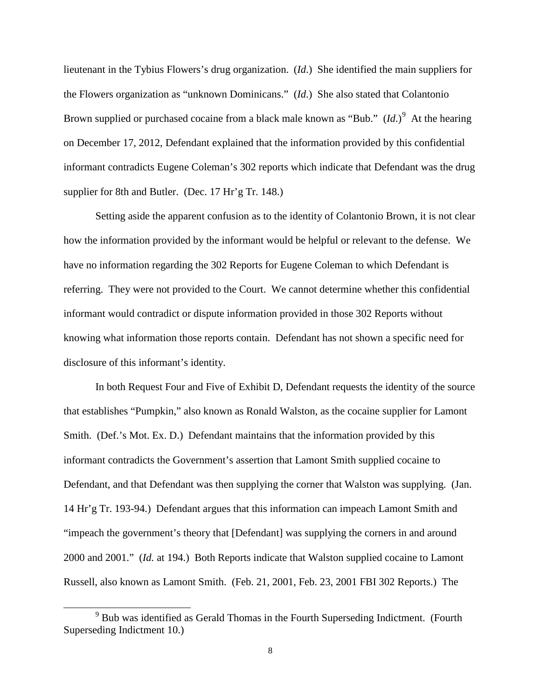lieutenant in the Tybius Flowers's drug organization. (*Id*.) She identified the main suppliers for the Flowers organization as "unknown Dominicans." (*Id*.) She also stated that Colantonio Brown supplied or purchased cocaine from a black male known as "Bub." (*Id*.)<sup>[9](#page-5-1)</sup> At the hearing on December 17, 2012, Defendant explained that the information provided by this confidential informant contradicts Eugene Coleman's 302 reports which indicate that Defendant was the drug supplier for 8th and Butler. (Dec. 17 Hr'g Tr. 148.)

Setting aside the apparent confusion as to the identity of Colantonio Brown, it is not clear how the information provided by the informant would be helpful or relevant to the defense. We have no information regarding the 302 Reports for Eugene Coleman to which Defendant is referring. They were not provided to the Court. We cannot determine whether this confidential informant would contradict or dispute information provided in those 302 Reports without knowing what information those reports contain. Defendant has not shown a specific need for disclosure of this informant's identity.

In both Request Four and Five of Exhibit D, Defendant requests the identity of the source that establishes "Pumpkin," also known as Ronald Walston, as the cocaine supplier for Lamont Smith. (Def.'s Mot. Ex. D.) Defendant maintains that the information provided by this informant contradicts the Government's assertion that Lamont Smith supplied cocaine to Defendant, and that Defendant was then supplying the corner that Walston was supplying. (Jan. 14 Hr'g Tr. 193-94.) Defendant argues that this information can impeach Lamont Smith and "impeach the government's theory that [Defendant] was supplying the corners in and around 2000 and 2001." (*Id.* at 194.) Both Reports indicate that Walston supplied cocaine to Lamont Russell, also known as Lamont Smith. (Feb. 21, 2001, Feb. 23, 2001 FBI 302 Reports.) The

<sup>&</sup>lt;sup>9</sup> Bub was identified as Gerald Thomas in the Fourth Superseding Indictment. (Fourth Superseding Indictment 10.)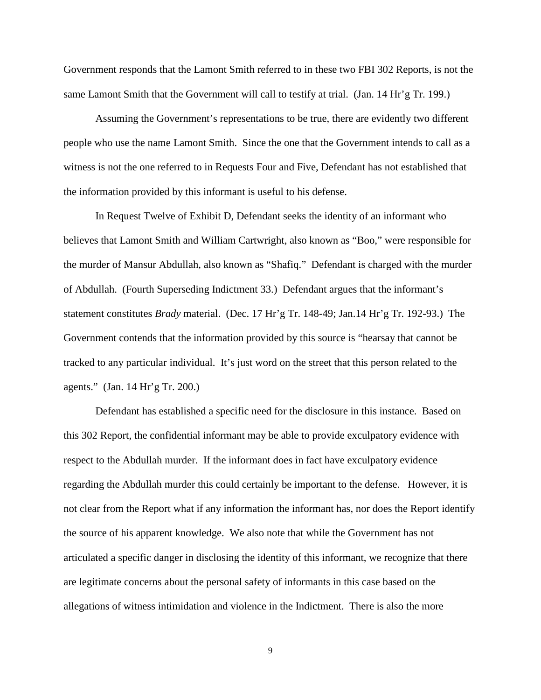Government responds that the Lamont Smith referred to in these two FBI 302 Reports, is not the same Lamont Smith that the Government will call to testify at trial. (Jan. 14 Hr'g Tr. 199.)

Assuming the Government's representations to be true, there are evidently two different people who use the name Lamont Smith. Since the one that the Government intends to call as a witness is not the one referred to in Requests Four and Five, Defendant has not established that the information provided by this informant is useful to his defense.

In Request Twelve of Exhibit D, Defendant seeks the identity of an informant who believes that Lamont Smith and William Cartwright, also known as "Boo," were responsible for the murder of Mansur Abdullah, also known as "Shafiq." Defendant is charged with the murder of Abdullah. (Fourth Superseding Indictment 33.) Defendant argues that the informant's statement constitutes *Brady* material. (Dec. 17 Hr'g Tr. 148-49; Jan.14 Hr'g Tr. 192-93.) The Government contends that the information provided by this source is "hearsay that cannot be tracked to any particular individual. It's just word on the street that this person related to the agents." (Jan. 14 Hr'g Tr. 200.)

Defendant has established a specific need for the disclosure in this instance. Based on this 302 Report, the confidential informant may be able to provide exculpatory evidence with respect to the Abdullah murder. If the informant does in fact have exculpatory evidence regarding the Abdullah murder this could certainly be important to the defense. However, it is not clear from the Report what if any information the informant has, nor does the Report identify the source of his apparent knowledge. We also note that while the Government has not articulated a specific danger in disclosing the identity of this informant, we recognize that there are legitimate concerns about the personal safety of informants in this case based on the allegations of witness intimidation and violence in the Indictment. There is also the more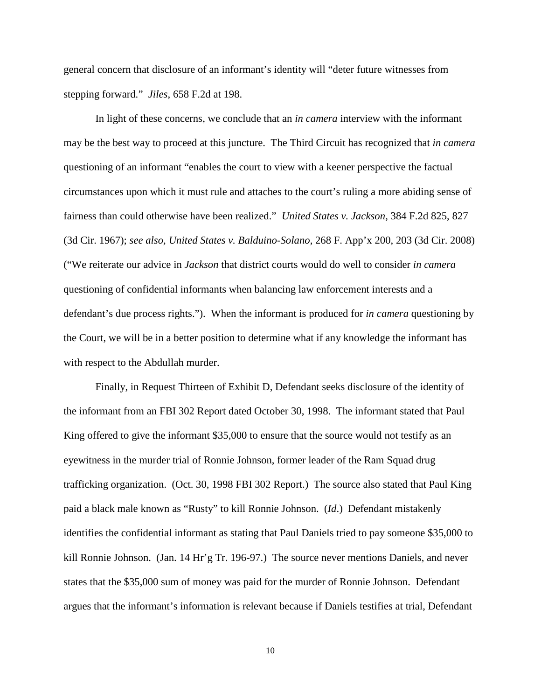general concern that disclosure of an informant's identity will "deter future witnesses from stepping forward." *Jiles*, 658 F.2d at 198.

In light of these concerns, we conclude that an *in camera* interview with the informant may be the best way to proceed at this juncture. The Third Circuit has recognized that *in camera* questioning of an informant "enables the court to view with a keener perspective the factual circumstances upon which it must rule and attaches to the court's ruling a more abiding sense of fairness than could otherwise have been realized." *United States v. Jackson*, 384 F.2d 825, 827 (3d Cir. 1967); *see also, United States v. Balduino-Solano*, 268 F. App'x 200, 203 (3d Cir. 2008) ("We reiterate our advice in *Jackson* that district courts would do well to consider *in camera* questioning of confidential informants when balancing law enforcement interests and a defendant's due process rights."). When the informant is produced for *in camera* questioning by the Court, we will be in a better position to determine what if any knowledge the informant has with respect to the Abdullah murder.

Finally, in Request Thirteen of Exhibit D, Defendant seeks disclosure of the identity of the informant from an FBI 302 Report dated October 30, 1998. The informant stated that Paul King offered to give the informant \$35,000 to ensure that the source would not testify as an eyewitness in the murder trial of Ronnie Johnson, former leader of the Ram Squad drug trafficking organization. (Oct. 30, 1998 FBI 302 Report.) The source also stated that Paul King paid a black male known as "Rusty" to kill Ronnie Johnson. (*Id*.) Defendant mistakenly identifies the confidential informant as stating that Paul Daniels tried to pay someone \$35,000 to kill Ronnie Johnson. (Jan. 14 Hr'g Tr. 196-97.) The source never mentions Daniels, and never states that the \$35,000 sum of money was paid for the murder of Ronnie Johnson. Defendant argues that the informant's information is relevant because if Daniels testifies at trial, Defendant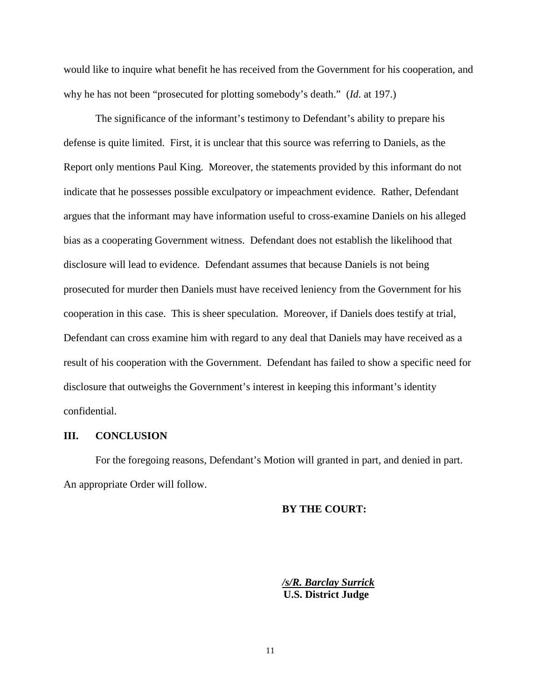would like to inquire what benefit he has received from the Government for his cooperation, and why he has not been "prosecuted for plotting somebody's death." (*Id*. at 197.)

The significance of the informant's testimony to Defendant's ability to prepare his defense is quite limited. First, it is unclear that this source was referring to Daniels, as the Report only mentions Paul King. Moreover, the statements provided by this informant do not indicate that he possesses possible exculpatory or impeachment evidence. Rather, Defendant argues that the informant may have information useful to cross-examine Daniels on his alleged bias as a cooperating Government witness. Defendant does not establish the likelihood that disclosure will lead to evidence. Defendant assumes that because Daniels is not being prosecuted for murder then Daniels must have received leniency from the Government for his cooperation in this case. This is sheer speculation. Moreover, if Daniels does testify at trial, Defendant can cross examine him with regard to any deal that Daniels may have received as a result of his cooperation with the Government. Defendant has failed to show a specific need for disclosure that outweighs the Government's interest in keeping this informant's identity confidential.

#### **III. CONCLUSION**

<span id="page-10-0"></span>For the foregoing reasons, Defendant's Motion will granted in part, and denied in part. An appropriate Order will follow.

#### **BY THE COURT:**

*/s/R. Barclay Surrick*  **U.S. District Judge**